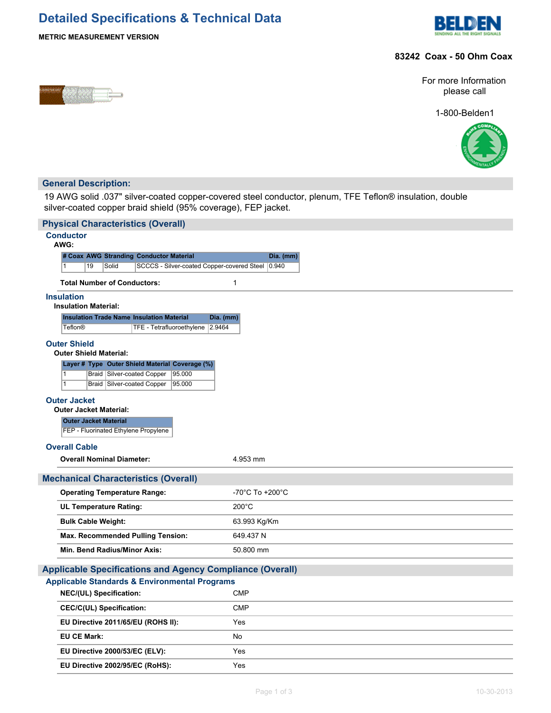# **Detailed Specifications & Technical Data**



## **METRIC MEASUREMENT VERSION**

## **83242 Coax - 50 Ohm Coax**



For more Information please call

1-800-Belden1



## **General Description:**

19 AWG solid .037" silver-coated copper-covered steel conductor, plenum, TFE Teflon® insulation, double silver-coated copper braid shield (95% coverage), FEP jacket.

| <b>Physical Characteristics (Overall)</b>                                       |                 |  |  |  |
|---------------------------------------------------------------------------------|-----------------|--|--|--|
| <b>Conductor</b><br>AWG:                                                        |                 |  |  |  |
| # Coax AWG Stranding Conductor Material                                         | Dia. (mm)       |  |  |  |
| 19<br>Solid<br>SCCCS - Silver-coated Copper-covered Steel 0.940<br>$\mathbf{1}$ |                 |  |  |  |
| <b>Total Number of Conductors:</b>                                              | $\mathbf{1}$    |  |  |  |
| <b>Insulation</b><br><b>Insulation Material:</b>                                |                 |  |  |  |
| <b>Insulation Trade Name Insulation Material</b><br>Dia. (mm)                   |                 |  |  |  |
| 2.9464<br><b>Teflon®</b><br>TFE - Tetrafluoroethylene                           |                 |  |  |  |
| <b>Outer Shield</b><br><b>Outer Shield Material:</b>                            |                 |  |  |  |
| Layer # Type Outer Shield Material Coverage (%)                                 |                 |  |  |  |
| Braid Silver-coated Copper<br>95.000<br>$\mathbf{1}$                            |                 |  |  |  |
| $\overline{1}$<br><b>Braid Silver-coated Copper</b><br>95.000                   |                 |  |  |  |
| <b>Outer Jacket</b><br><b>Outer Jacket Material:</b>                            |                 |  |  |  |
| <b>Outer Jacket Material</b>                                                    |                 |  |  |  |
| FEP - Fluorinated Ethylene Propylene                                            |                 |  |  |  |
| <b>Overall Cable</b>                                                            |                 |  |  |  |
| <b>Overall Nominal Diameter:</b>                                                | 4.953 mm        |  |  |  |
| <b>Mechanical Characteristics (Overall)</b>                                     |                 |  |  |  |
| <b>Operating Temperature Range:</b>                                             | -70°C To +200°C |  |  |  |
| <b>UL Temperature Rating:</b>                                                   | $200^{\circ}$ C |  |  |  |
| <b>Bulk Cable Weight:</b>                                                       | 63.993 Kg/Km    |  |  |  |
| <b>Max. Recommended Pulling Tension:</b>                                        | 649.437 N       |  |  |  |
| Min. Bend Radius/Minor Axis:                                                    | 50.800 mm       |  |  |  |
| <b>Applicable Specifications and Agency Compliance (Overall)</b>                |                 |  |  |  |
| <b>Applicable Standards &amp; Environmental Programs</b>                        |                 |  |  |  |
| NEC/(UL) Specification:                                                         | <b>CMP</b>      |  |  |  |
| <b>CEC/C(UL) Specification:</b>                                                 | <b>CMP</b>      |  |  |  |
| EU Directive 2011/65/EU (ROHS II):                                              | Yes             |  |  |  |
| <b>EU CE Mark:</b>                                                              | No              |  |  |  |
| EU Directive 2000/53/EC (ELV):                                                  | Yes             |  |  |  |
| EU Directive 2002/95/EC (RoHS):                                                 | Yes             |  |  |  |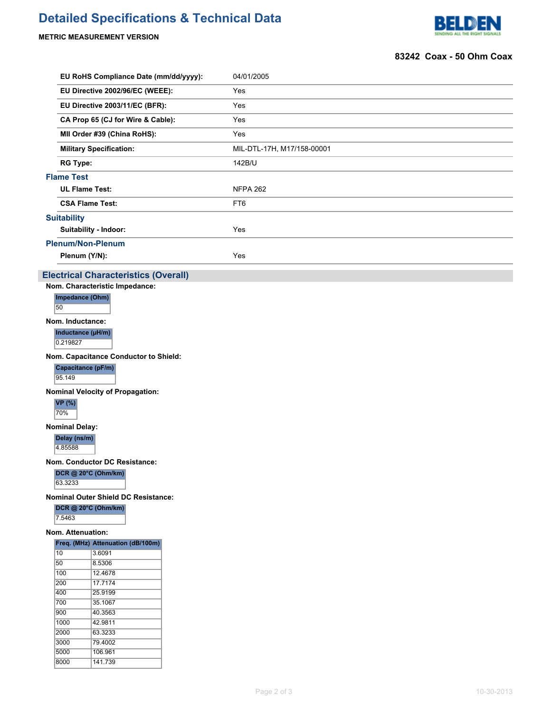# **Detailed Specifications & Technical Data**

## **METRIC MEASUREMENT VERSION**



### **83242 Coax - 50 Ohm Coax**

| EU RoHS Compliance Date (mm/dd/yyyy):       | 04/01/2005                 |
|---------------------------------------------|----------------------------|
| EU Directive 2002/96/EC (WEEE):             | Yes                        |
| EU Directive 2003/11/EC (BFR):              | Yes                        |
| CA Prop 65 (CJ for Wire & Cable):           | Yes                        |
| MII Order #39 (China RoHS):                 | Yes                        |
| <b>Military Specification:</b>              | MIL-DTL-17H, M17/158-00001 |
| <b>RG Type:</b>                             | 142B/U                     |
| <b>Flame Test</b>                           |                            |
| <b>UL Flame Test:</b>                       | <b>NFPA 262</b>            |
| <b>CSA Flame Test:</b>                      | FT <sub>6</sub>            |
| <b>Suitability</b>                          |                            |
| Suitability - Indoor:                       | Yes                        |
| <b>Plenum/Non-Plenum</b>                    |                            |
| Plenum (Y/N):                               | Yes                        |
| <b>Electrical Characteristics (Overall)</b> |                            |
| Nom. Characteristic Impedance:              |                            |
| Impedance (Ohm)<br>50                       |                            |
| Nom. Inductance:                            |                            |

**Inductance (µH/m)**

0.219827

**Nom. Capacitance Conductor to Shield:**

**Capacitance (pF/m)** 95.149

**Nominal Velocity of Propagation:**

**VP (%)** 70%

**Nominal Delay:**

**Delay (ns/m)**

4.85588

**Nom. Conductor DC Resistance:**

**DCR @ 20°C (Ohm/km)** 63.3233

**Nominal Outer Shield DC Resistance:**

**DCR @ 20°C (Ohm/km)**

7.5463

## **Nom. Attenuation:**

|      | Freq. (MHz) Attenuation (dB/100m) |  |  |
|------|-----------------------------------|--|--|
| 10   | 3.6091                            |  |  |
| 50   | 8.5306                            |  |  |
| 100  | 124678                            |  |  |
| 200  | 17.7174                           |  |  |
| 400  | 25.9199                           |  |  |
| 700  | 35 1067                           |  |  |
| 900  | 40.3563                           |  |  |
| 1000 | 42 9811                           |  |  |
| 2000 | 63.3233                           |  |  |
| 3000 | 79.4002                           |  |  |
| 5000 | 106.961                           |  |  |
| 8000 | 141 739                           |  |  |